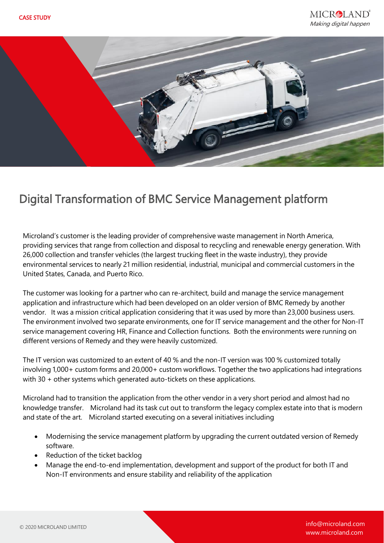

## Digital Transformation of BMC Service Management platform

Microland's customer is the leading provider of comprehensive waste management in North America, providing services that range from collection and disposal to recycling and renewable energy generation. With 26,000 collection and transfer vehicles (the largest trucking fleet in the waste industry), they provide environmental services to nearly 21 million residential, industrial, municipal and commercial customers in the United States, Canada, and Puerto Rico.

The customer was looking for a partner who can re-architect, build and manage the service management application and infrastructure which had been developed on an older version of BMC Remedy by another vendor. It was a mission critical application considering that it was used by more than 23,000 business users. The environment involved two separate environments, one for IT service management and the other for Non-IT service management covering HR, Finance and Collection functions. Both the environments were running on different versions of Remedy and they were heavily customized.

The IT version was customized to an extent of 40 % and the non-IT version was 100 % customized totally involving 1,000+ custom forms and 20,000+ custom workflows. Together the two applications had integrations with 30 + other systems which generated auto-tickets on these applications.

Microland had to transition the application from the other vendor in a very short period and almost had no knowledge transfer. Microland had its task cut out to transform the legacy complex estate into that is modern and state of the art. Microland started executing on a several initiatives including

- Modernising the service management platform by upgrading the current outdated version of Remedy software.
- Reduction of the ticket backlog
- Manage the end-to-end implementation, development and support of the product for both IT and Non-IT environments and ensure stability and reliability of the application